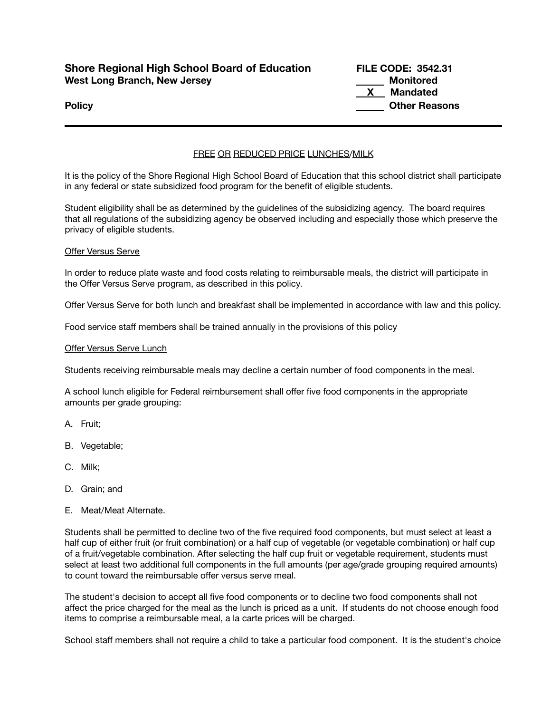# **Shore Regional High School Board of Education FILE CODE: 3542.31 West Long Branch, New Jersey Monitored**

**X Mandated Policy Other Reasons**

# FREE OR REDUCED PRICE LUNCHES/MILK

It is the policy of the Shore Regional High School Board of Education that this school district shall participate in any federal or state subsidized food program for the benefit of eligible students.

Student eligibility shall be as determined by the guidelines of the subsidizing agency. The board requires that all regulations of the subsidizing agency be observed including and especially those which preserve the privacy of eligible students.

# Offer Versus Serve

In order to reduce plate waste and food costs relating to reimbursable meals, the district will participate in the Offer Versus Serve program, as described in this policy.

Offer Versus Serve for both lunch and breakfast shall be implemented in accordance with law and this policy.

Food service staff members shall be trained annually in the provisions of this policy

## Offer Versus Serve Lunch

Students receiving reimbursable meals may decline a certain number of food components in the meal.

A school lunch eligible for Federal reimbursement shall offer five food components in the appropriate amounts per grade grouping:

- A. Fruit;
- B. Vegetable;
- C. Milk;
- D. Grain; and
- E. Meat/Meat Alternate.

Students shall be permitted to decline two of the five required food components, but must select at least a half cup of either fruit (or fruit combination) or a half cup of vegetable (or vegetable combination) or half cup of a fruit/vegetable combination. After selecting the half cup fruit or vegetable requirement, students must select at least two additional full components in the full amounts (per age/grade grouping required amounts) to count toward the reimbursable offer versus serve meal.

The student's decision to accept all five food components or to decline two food components shall not affect the price charged for the meal as the lunch is priced as a unit. If students do not choose enough food items to comprise a reimbursable meal, a la carte prices will be charged.

School staff members shall not require a child to take a particular food component. It is the student's choice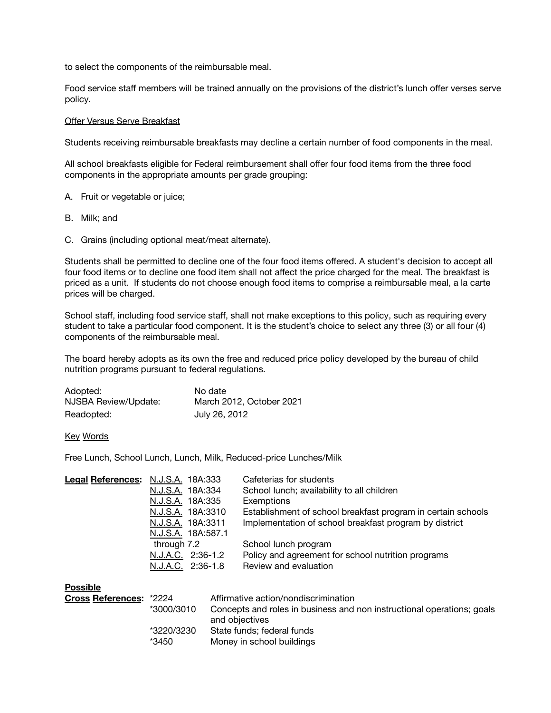to select the components of the reimbursable meal.

Food service staff members will be trained annually on the provisions of the district's lunch offer verses serve policy.

### Offer Versus Serve Breakfast

Students receiving reimbursable breakfasts may decline a certain number of food components in the meal.

All school breakfasts eligible for Federal reimbursement shall offer four food items from the three food components in the appropriate amounts per grade grouping:

- A. Fruit or vegetable or juice;
- B. Milk; and
- C. Grains (including optional meat/meat alternate).

Students shall be permitted to decline one of the four food items offered. A student's decision to accept all four food items or to decline one food item shall not affect the price charged for the meal. The breakfast is priced as a unit. If students do not choose enough food items to comprise a reimbursable meal, a la carte prices will be charged.

School staff, including food service staff, shall not make exceptions to this policy, such as requiring every student to take a particular food component. It is the student's choice to select any three (3) or all four (4) components of the reimbursable meal.

The board hereby adopts as its own the free and reduced price policy developed by the bureau of child nutrition programs pursuant to federal regulations.

| Adopted:             | No date                  |
|----------------------|--------------------------|
| NJSBA Review/Update: | March 2012, October 2021 |
| Readopted:           | July 26, 2012            |

### Key Words

Free Lunch, School Lunch, Lunch, Milk, Reduced-price Lunches/Milk

| Legal References: N.J.S.A. 18A:333 |                  |                    | Cafeterias for students                                      |
|------------------------------------|------------------|--------------------|--------------------------------------------------------------|
|                                    | N.J.S.A. 18A:334 |                    | School lunch; availability to all children                   |
|                                    | N.J.S.A. 18A:335 |                    | Exemptions                                                   |
|                                    |                  | N.J.S.A. 18A:3310  | Establishment of school breakfast program in certain schools |
|                                    |                  | N.J.S.A. 18A:3311  | Implementation of school breakfast program by district       |
|                                    |                  | N.J.S.A. 18A:587.1 |                                                              |
|                                    | through 7.2      |                    | School lunch program                                         |
|                                    |                  | N.J.A.C. 2:36-1.2  | Policy and agreement for school nutrition programs           |
|                                    |                  | N.J.A.C. 2:36-1.8  | Review and evaluation                                        |
| <b>Possible</b>                    |                  |                    |                                                              |
| <b>Cross References: *2224</b>     |                  |                    | Affirmative action/nondiscrimination                         |

| <b>Cross References:</b> | *2224      | Affirmative action/nondiscrimination                                   |  |
|--------------------------|------------|------------------------------------------------------------------------|--|
|                          | *3000/3010 | Concepts and roles in business and non instructional operations; goals |  |
|                          |            | and objectives                                                         |  |
|                          | *3220/3230 | State funds; federal funds                                             |  |
|                          | *3450      | Money in school buildings                                              |  |